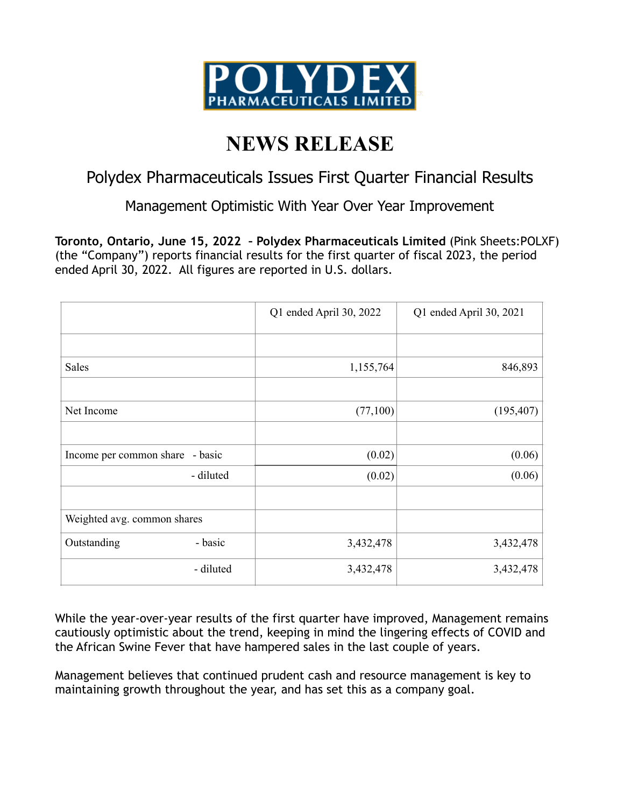

## **NEWS RELEASE**

## Polydex Pharmaceuticals Issues First Quarter Financial Results

Management Optimistic With Year Over Year Improvement

**Toronto, Ontario, June 15, 2022 – Polydex Pharmaceuticals Limited** (Pink Sheets:POLXF) (the "Company") reports financial results for the first quarter of fiscal 2023, the period ended April 30, 2022. All figures are reported in U.S. dollars.

|                                 | Q1 ended April 30, 2022 | Q1 ended April 30, 2021 |
|---------------------------------|-------------------------|-------------------------|
|                                 |                         |                         |
| Sales                           | 1,155,764               | 846,893                 |
|                                 |                         |                         |
| Net Income                      | (77,100)                | (195, 407)              |
|                                 |                         |                         |
| Income per common share - basic | (0.02)                  | (0.06)                  |
| - diluted                       | (0.02)                  | (0.06)                  |
|                                 |                         |                         |
| Weighted avg. common shares     |                         |                         |
| - basic<br>Outstanding          | 3,432,478               | 3,432,478               |
| - diluted                       | 3,432,478               | 3,432,478               |

While the year-over-year results of the first quarter have improved, Management remains cautiously optimistic about the trend, keeping in mind the lingering effects of COVID and the African Swine Fever that have hampered sales in the last couple of years.

Management believes that continued prudent cash and resource management is key to maintaining growth throughout the year, and has set this as a company goal.